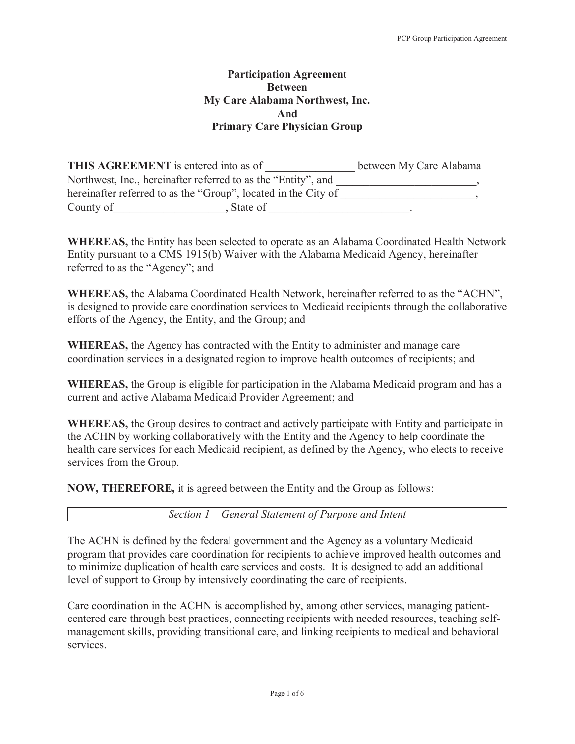## **Participation Agreement Between My Care Alabama Northwest, Inc. And Primary Care Physician Group**

| <b>THIS AGREEMENT</b> is entered into as of                    | between My Care Alabama |
|----------------------------------------------------------------|-------------------------|
| Northwest, Inc., hereinafter referred to as the "Entity", and  |                         |
| hereinafter referred to as the "Group", located in the City of |                         |
| County of<br>State of                                          |                         |

**WHEREAS,** the Entity has been selected to operate as an Alabama Coordinated Health Network Entity pursuant to a CMS 1915(b) Waiver with the Alabama Medicaid Agency, hereinafter referred to as the "Agency"; and

**WHEREAS,** the Alabama Coordinated Health Network, hereinafter referred to as the "ACHN", is designed to provide care coordination services to Medicaid recipients through the collaborative efforts of the Agency, the Entity, and the Group; and

**WHEREAS,** the Agency has contracted with the Entity to administer and manage care coordination services in a designated region to improve health outcomes of recipients; and

**WHEREAS,** the Group is eligible for participation in the Alabama Medicaid program and has a current and active Alabama Medicaid Provider Agreement; and

**WHEREAS,** the Group desires to contract and actively participate with Entity and participate in the ACHN by working collaboratively with the Entity and the Agency to help coordinate the health care services for each Medicaid recipient, as defined by the Agency, who elects to receive services from the Group.

**NOW, THEREFORE,** it is agreed between the Entity and the Group as follows:

*Section 1 – General Statement of Purpose and Intent* 

The ACHN is defined by the federal government and the Agency as a voluntary Medicaid program that provides care coordination for recipients to achieve improved health outcomes and to minimize duplication of health care services and costs. It is designed to add an additional level of support to Group by intensively coordinating the care of recipients.

Care coordination in the ACHN is accomplished by, among other services, managing patientcentered care through best practices, connecting recipients with needed resources, teaching selfmanagement skills, providing transitional care, and linking recipients to medical and behavioral services.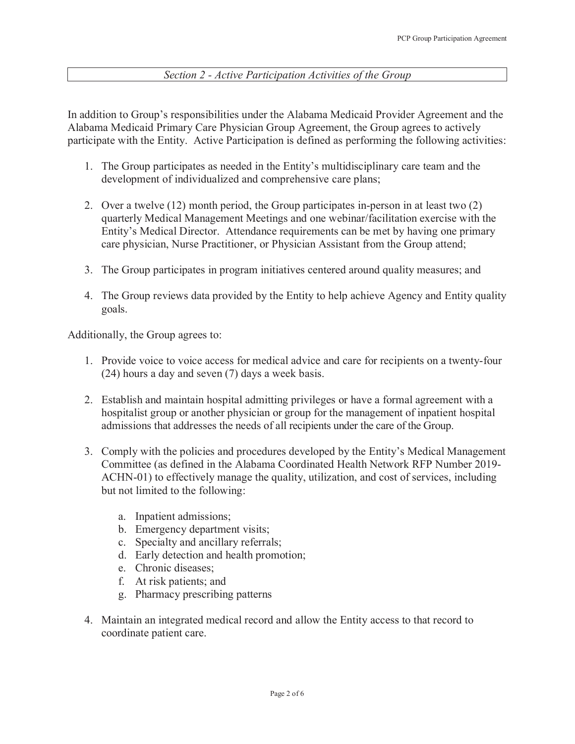## *Section 2 - Active Participation Activities of the Group*

In addition to Group's responsibilities under the Alabama Medicaid Provider Agreement and the Alabama Medicaid Primary Care Physician Group Agreement, the Group agrees to actively participate with the Entity. Active Participation is defined as performing the following activities:

- 1. The Group participates as needed in the Entity's multidisciplinary care team and the development of individualized and comprehensive care plans;
- 2. Over a twelve (12) month period, the Group participates in-person in at least two (2) quarterly Medical Management Meetings and one webinar/facilitation exercise with the Entity's Medical Director. Attendance requirements can be met by having one primary care physician, Nurse Practitioner, or Physician Assistant from the Group attend;
- 3. The Group participates in program initiatives centered around quality measures; and
- 4. The Group reviews data provided by the Entity to help achieve Agency and Entity quality goals.

Additionally, the Group agrees to:

- 1. Provide voice to voice access for medical advice and care for recipients on a twenty-four (24) hours a day and seven (7) days a week basis.
- 2. Establish and maintain hospital admitting privileges or have a formal agreement with a hospitalist group or another physician or group for the management of inpatient hospital admissions that addresses the needs of all recipients under the care of the Group.
- 3. Comply with the policies and procedures developed by the Entity's Medical Management Committee (as defined in the Alabama Coordinated Health Network RFP Number 2019- ACHN-01) to effectively manage the quality, utilization, and cost of services, including but not limited to the following:
	- a. Inpatient admissions;
	- b. Emergency department visits;
	- c. Specialty and ancillary referrals;
	- d. Early detection and health promotion;
	- e. Chronic diseases;
	- f. At risk patients; and
	- g. Pharmacy prescribing patterns
- 4. Maintain an integrated medical record and allow the Entity access to that record to coordinate patient care.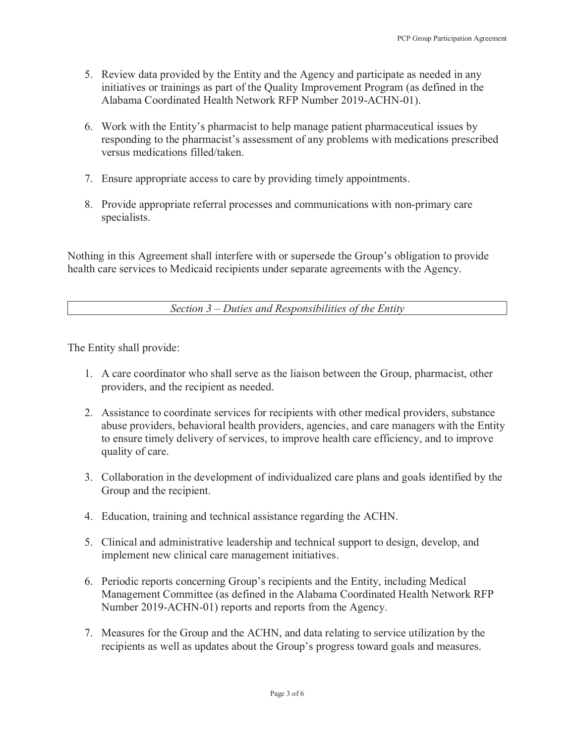- 5. Review data provided by the Entity and the Agency and participate as needed in any initiatives or trainings as part of the Quality Improvement Program (as defined in the Alabama Coordinated Health Network RFP Number 2019-ACHN-01).
- 6. Work with the Entity's pharmacist to help manage patient pharmaceutical issues by responding to the pharmacist's assessment of any problems with medications prescribed versus medications filled/taken.
- 7. Ensure appropriate access to care by providing timely appointments.
- 8. Provide appropriate referral processes and communications with non-primary care specialists.

Nothing in this Agreement shall interfere with or supersede the Group's obligation to provide health care services to Medicaid recipients under separate agreements with the Agency.

*Section 3 – Duties and Responsibilities of the Entity* 

The Entity shall provide:

- 1. A care coordinator who shall serve as the liaison between the Group, pharmacist, other providers, and the recipient as needed.
- 2. Assistance to coordinate services for recipients with other medical providers, substance abuse providers, behavioral health providers, agencies, and care managers with the Entity to ensure timely delivery of services, to improve health care efficiency, and to improve quality of care.
- 3. Collaboration in the development of individualized care plans and goals identified by the Group and the recipient.
- 4. Education, training and technical assistance regarding the ACHN.
- 5. Clinical and administrative leadership and technical support to design, develop, and implement new clinical care management initiatives.
- 6. Periodic reports concerning Group's recipients and the Entity, including Medical Management Committee (as defined in the Alabama Coordinated Health Network RFP Number 2019-ACHN-01) reports and reports from the Agency.
- 7. Measures for the Group and the ACHN, and data relating to service utilization by the recipients as well as updates about the Group's progress toward goals and measures.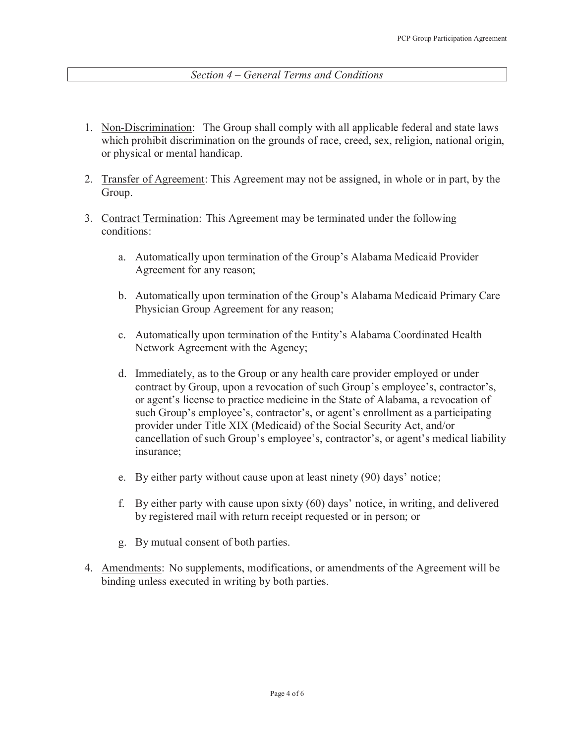## *Section 4 – General Terms and Conditions*

- 1. Non-Discrimination: The Group shall comply with all applicable federal and state laws which prohibit discrimination on the grounds of race, creed, sex, religion, national origin, or physical or mental handicap.
- 2. Transfer of Agreement: This Agreement may not be assigned, in whole or in part, by the Group.
- 3. Contract Termination: This Agreement may be terminated under the following conditions:
	- a. Automatically upon termination of the Group's Alabama Medicaid Provider Agreement for any reason;
	- b. Automatically upon termination of the Group's Alabama Medicaid Primary Care Physician Group Agreement for any reason;
	- c. Automatically upon termination of the Entity's Alabama Coordinated Health Network Agreement with the Agency;
	- d. Immediately, as to the Group or any health care provider employed or under contract by Group, upon a revocation of such Group's employee's, contractor's, or agent's license to practice medicine in the State of Alabama, a revocation of such Group's employee's, contractor's, or agent's enrollment as a participating provider under Title XIX (Medicaid) of the Social Security Act, and/or cancellation of such Group's employee's, contractor's, or agent's medical liability insurance;
	- e. By either party without cause upon at least ninety (90) days' notice;
	- f. By either party with cause upon sixty (60) days' notice, in writing, and delivered by registered mail with return receipt requested or in person; or
	- g. By mutual consent of both parties.
- 4. Amendments: No supplements, modifications, or amendments of the Agreement will be binding unless executed in writing by both parties.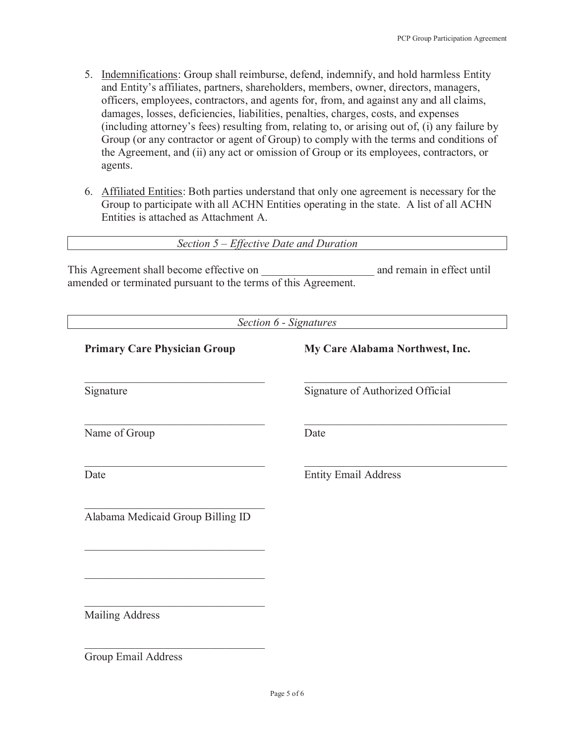- 5. Indemnifications: Group shall reimburse, defend, indemnify, and hold harmless Entity and Entity's affiliates, partners, shareholders, members, owner, directors, managers, officers, employees, contractors, and agents for, from, and against any and all claims, damages, losses, deficiencies, liabilities, penalties, charges, costs, and expenses (including attorney's fees) resulting from, relating to, or arising out of, (i) any failure by Group (or any contractor or agent of Group) to comply with the terms and conditions of the Agreement, and (ii) any act or omission of Group or its employees, contractors, or agents.
- 6. Affiliated Entities: Both parties understand that only one agreement is necessary for the Group to participate with all ACHN Entities operating in the state. A list of all ACHN Entities is attached as Attachment A.

|  |  |  | Section $5$ – Effective Date and Duration |  |
|--|--|--|-------------------------------------------|--|
|--|--|--|-------------------------------------------|--|

This Agreement shall become effective on  $\Box$  and remain in effect until amended or terminated pursuant to the terms of this Agreement.

|                                     | Section 6 - Signatures           |
|-------------------------------------|----------------------------------|
| <b>Primary Care Physician Group</b> | My Care Alabama Northwest, Inc.  |
| Signature                           | Signature of Authorized Official |
| Name of Group                       | Date                             |
| Date                                | <b>Entity Email Address</b>      |
| Alabama Medicaid Group Billing ID   |                                  |
|                                     |                                  |
| <b>Mailing Address</b>              |                                  |
| Group Email Address                 |                                  |